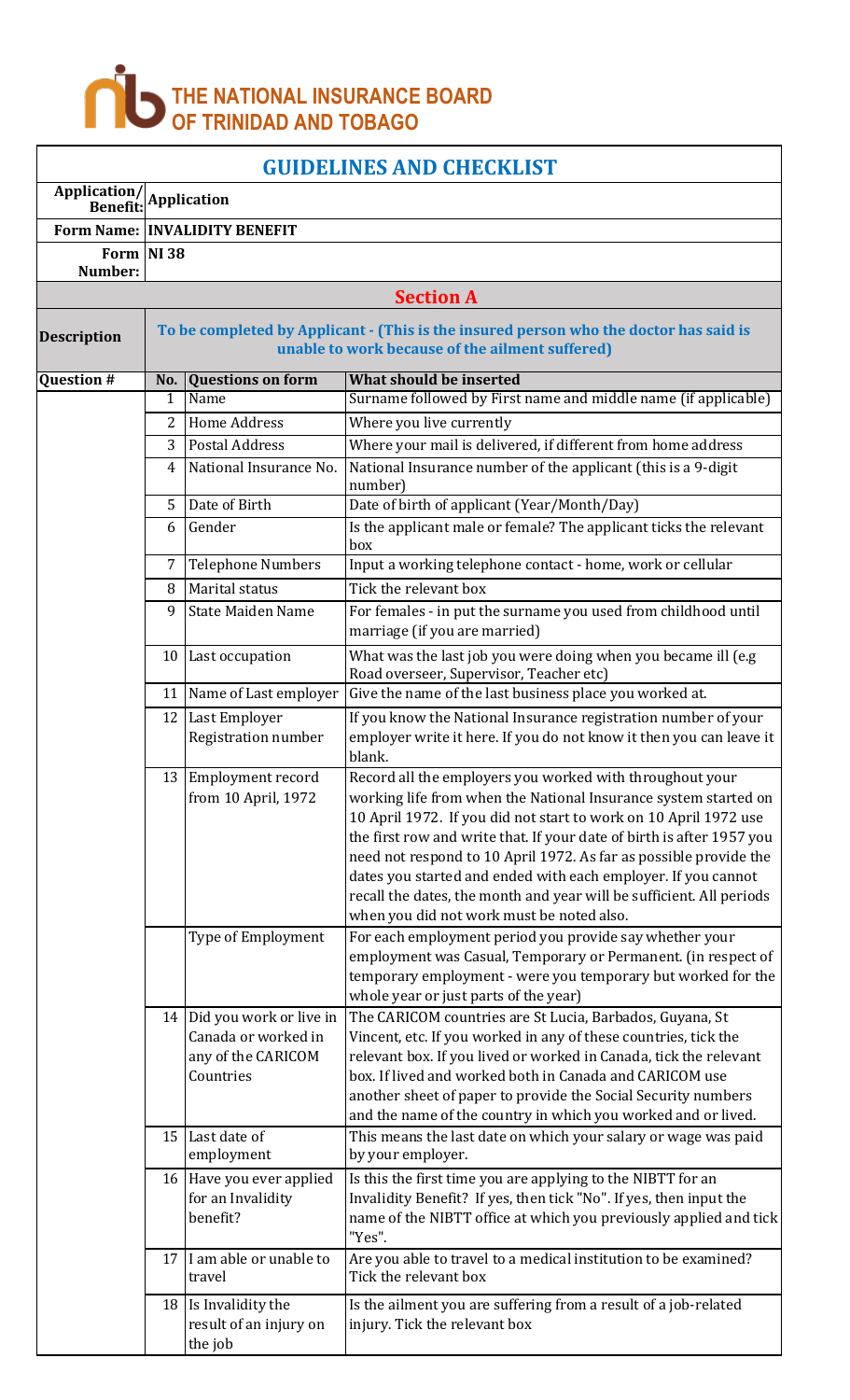

| <b>GUIDELINES AND CHECKLIST</b> |                    |                                                                                   |                                                                                                                                                                                                                                                                                                                                                                                                                                                                                                                                     |  |  |  |
|---------------------------------|--------------------|-----------------------------------------------------------------------------------|-------------------------------------------------------------------------------------------------------------------------------------------------------------------------------------------------------------------------------------------------------------------------------------------------------------------------------------------------------------------------------------------------------------------------------------------------------------------------------------------------------------------------------------|--|--|--|
| Application/<br><b>Benefit:</b> | <b>Application</b> |                                                                                   |                                                                                                                                                                                                                                                                                                                                                                                                                                                                                                                                     |  |  |  |
|                                 |                    | <b>Form Name: INVALIDITY BENEFIT</b>                                              |                                                                                                                                                                                                                                                                                                                                                                                                                                                                                                                                     |  |  |  |
| <b>Form</b><br>Number:          | <b>NI38</b>        |                                                                                   |                                                                                                                                                                                                                                                                                                                                                                                                                                                                                                                                     |  |  |  |
|                                 |                    |                                                                                   | <b>Section A</b>                                                                                                                                                                                                                                                                                                                                                                                                                                                                                                                    |  |  |  |
| <b>Description</b>              |                    |                                                                                   | To be completed by Applicant - (This is the insured person who the doctor has said is<br>unable to work because of the ailment suffered)                                                                                                                                                                                                                                                                                                                                                                                            |  |  |  |
| <b>Question #</b>               | No.                | <b>Questions on form</b>                                                          | What should be inserted                                                                                                                                                                                                                                                                                                                                                                                                                                                                                                             |  |  |  |
|                                 | 1                  | Name                                                                              | Surname followed by First name and middle name (if applicable)                                                                                                                                                                                                                                                                                                                                                                                                                                                                      |  |  |  |
|                                 | 2                  | <b>Home Address</b>                                                               | Where you live currently                                                                                                                                                                                                                                                                                                                                                                                                                                                                                                            |  |  |  |
|                                 | 3                  | <b>Postal Address</b>                                                             | Where your mail is delivered, if different from home address                                                                                                                                                                                                                                                                                                                                                                                                                                                                        |  |  |  |
|                                 | 4                  | National Insurance No.                                                            | National Insurance number of the applicant (this is a 9-digit<br>number)                                                                                                                                                                                                                                                                                                                                                                                                                                                            |  |  |  |
|                                 | 5                  | Date of Birth                                                                     | Date of birth of applicant (Year/Month/Day)                                                                                                                                                                                                                                                                                                                                                                                                                                                                                         |  |  |  |
|                                 | 6                  | Gender                                                                            | Is the applicant male or female? The applicant ticks the relevant<br>box                                                                                                                                                                                                                                                                                                                                                                                                                                                            |  |  |  |
|                                 | 7                  | <b>Telephone Numbers</b>                                                          | Input a working telephone contact - home, work or cellular                                                                                                                                                                                                                                                                                                                                                                                                                                                                          |  |  |  |
|                                 | 8                  | Marital status                                                                    | Tick the relevant box                                                                                                                                                                                                                                                                                                                                                                                                                                                                                                               |  |  |  |
|                                 | 9                  | <b>State Maiden Name</b>                                                          | For females - in put the surname you used from childhood until<br>marriage (if you are married)                                                                                                                                                                                                                                                                                                                                                                                                                                     |  |  |  |
|                                 | 10                 | Last occupation                                                                   | What was the last job you were doing when you became ill (e.g<br>Road overseer, Supervisor, Teacher etc)                                                                                                                                                                                                                                                                                                                                                                                                                            |  |  |  |
|                                 | 11                 | Name of Last employer                                                             | Give the name of the last business place you worked at.                                                                                                                                                                                                                                                                                                                                                                                                                                                                             |  |  |  |
|                                 | 12                 | Last Employer                                                                     | If you know the National Insurance registration number of your                                                                                                                                                                                                                                                                                                                                                                                                                                                                      |  |  |  |
|                                 |                    | Registration number                                                               | employer write it here. If you do not know it then you can leave it<br>blank.                                                                                                                                                                                                                                                                                                                                                                                                                                                       |  |  |  |
|                                 |                    | 13 Employment record<br>from 10 April, 1972                                       | Record all the employers you worked with throughout your<br>working life from when the National Insurance system started on<br>10 April 1972. If you did not start to work on 10 April 1972 use<br>the first row and write that. If your date of birth is after 1957 you<br>need not respond to 10 April 1972. As far as possible provide the<br>dates you started and ended with each employer. If you cannot<br>recall the dates, the month and year will be sufficient. All periods<br>when you did not work must be noted also. |  |  |  |
|                                 |                    | Type of Employment                                                                | For each employment period you provide say whether your<br>employment was Casual, Temporary or Permanent. (in respect of<br>temporary employment - were you temporary but worked for the<br>whole year or just parts of the year)                                                                                                                                                                                                                                                                                                   |  |  |  |
|                                 | 14                 | Did you work or live in<br>Canada or worked in<br>any of the CARICOM<br>Countries | The CARICOM countries are St Lucia, Barbados, Guyana, St<br>Vincent, etc. If you worked in any of these countries, tick the<br>relevant box. If you lived or worked in Canada, tick the relevant<br>box. If lived and worked both in Canada and CARICOM use                                                                                                                                                                                                                                                                         |  |  |  |

## for an Invalidity benefit? Invalidity Benefit? If yes, then tick "No". If yes, then input the name of the NIBTT office at which you previously applied and tick "Yes". 17 I am able or unable to travel Are you able to travel to a medical institution to be examined? Tick the relevant box 18 Is Invalidity the result of an injury on the job Is the ailment you are suffering from a result of a job-related injury. Tick the relevant box

by your employer.

15 Last date of employment

16 Have you ever applied

another sheet of paper to provide the Social Security numbers and the name of the country in which you worked and or lived.

This means the last date on which your salary or wage was paid

Is this the first time you are applying to the NIBTT for an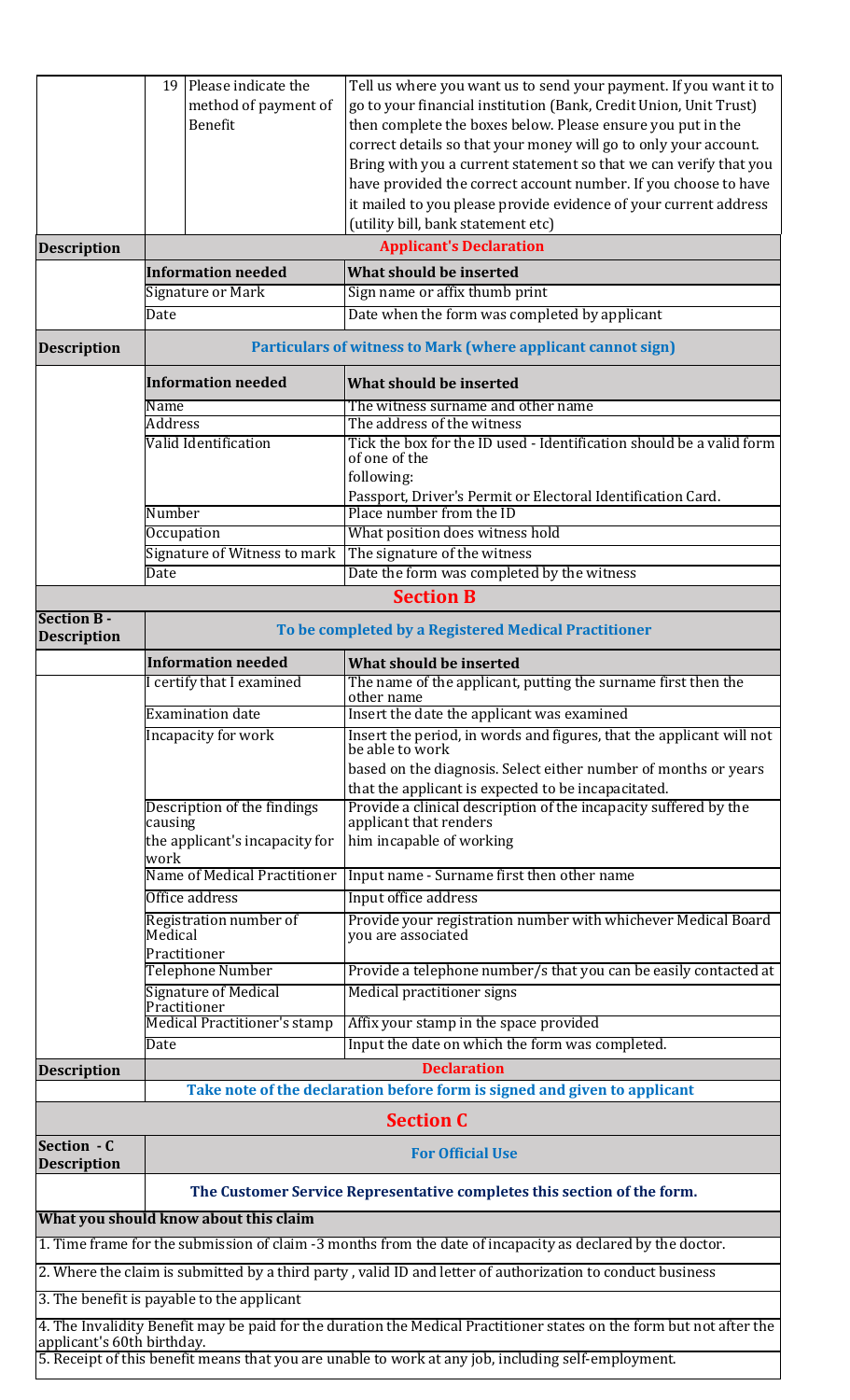|                                                                                                            | method of payment of<br>Benefit                                         | go to your financial institution (Bank, Credit Union, Unit Trust)<br>then complete the boxes below. Please ensure you put in the                                                                                            |  |  |  |  |
|------------------------------------------------------------------------------------------------------------|-------------------------------------------------------------------------|-----------------------------------------------------------------------------------------------------------------------------------------------------------------------------------------------------------------------------|--|--|--|--|
|                                                                                                            |                                                                         |                                                                                                                                                                                                                             |  |  |  |  |
|                                                                                                            |                                                                         |                                                                                                                                                                                                                             |  |  |  |  |
|                                                                                                            |                                                                         | correct details so that your money will go to only your account.                                                                                                                                                            |  |  |  |  |
|                                                                                                            |                                                                         | Bring with you a current statement so that we can verify that you                                                                                                                                                           |  |  |  |  |
|                                                                                                            |                                                                         | have provided the correct account number. If you choose to have                                                                                                                                                             |  |  |  |  |
|                                                                                                            |                                                                         | it mailed to you please provide evidence of your current address                                                                                                                                                            |  |  |  |  |
|                                                                                                            |                                                                         | (utility bill, bank statement etc)                                                                                                                                                                                          |  |  |  |  |
| <b>Description</b>                                                                                         |                                                                         | <b>Applicant's Declaration</b>                                                                                                                                                                                              |  |  |  |  |
|                                                                                                            | <b>Information needed</b>                                               | What should be inserted                                                                                                                                                                                                     |  |  |  |  |
|                                                                                                            | Signature or Mark                                                       | Sign name or affix thumb print                                                                                                                                                                                              |  |  |  |  |
|                                                                                                            | Date                                                                    | Date when the form was completed by applicant                                                                                                                                                                               |  |  |  |  |
| <b>Description</b>                                                                                         |                                                                         | <b>Particulars of witness to Mark (where applicant cannot sign)</b>                                                                                                                                                         |  |  |  |  |
|                                                                                                            | <b>Information needed</b>                                               | What should be inserted                                                                                                                                                                                                     |  |  |  |  |
|                                                                                                            | Name<br><b>Address</b>                                                  | The witness surname and other name<br>The address of the witness                                                                                                                                                            |  |  |  |  |
|                                                                                                            | Valid Identification                                                    | Tick the box for the ID used - Identification should be a valid form<br>of one of the                                                                                                                                       |  |  |  |  |
|                                                                                                            |                                                                         |                                                                                                                                                                                                                             |  |  |  |  |
|                                                                                                            |                                                                         | following:                                                                                                                                                                                                                  |  |  |  |  |
|                                                                                                            | Number                                                                  | Passport, Driver's Permit or Electoral Identification Card.<br>Place number from the ID                                                                                                                                     |  |  |  |  |
|                                                                                                            | Occupation                                                              | What position does witness hold                                                                                                                                                                                             |  |  |  |  |
|                                                                                                            | Signature of Witness to mark                                            | The signature of the witness                                                                                                                                                                                                |  |  |  |  |
|                                                                                                            | Date                                                                    | Date the form was completed by the witness                                                                                                                                                                                  |  |  |  |  |
|                                                                                                            |                                                                         | <b>Section B</b>                                                                                                                                                                                                            |  |  |  |  |
| <b>Section B -</b>                                                                                         | To be completed by a Registered Medical Practitioner                    |                                                                                                                                                                                                                             |  |  |  |  |
| <b>Description</b>                                                                                         |                                                                         |                                                                                                                                                                                                                             |  |  |  |  |
|                                                                                                            | <b>Information needed</b>                                               | What should be inserted                                                                                                                                                                                                     |  |  |  |  |
|                                                                                                            | certify that I examined                                                 | The name of the applicant, putting the surname first then the                                                                                                                                                               |  |  |  |  |
|                                                                                                            | <b>Examination date</b>                                                 | other name<br>Insert the date the applicant was examined                                                                                                                                                                    |  |  |  |  |
| Incapacity for work                                                                                        |                                                                         | Insert the period, in words and figures, that the applicant will not<br>be able to work                                                                                                                                     |  |  |  |  |
|                                                                                                            |                                                                         | based on the diagnosis. Select either number of months or years                                                                                                                                                             |  |  |  |  |
|                                                                                                            |                                                                         | that the applicant is expected to be incapacitated.                                                                                                                                                                         |  |  |  |  |
|                                                                                                            | Description of the findings                                             | Provide a clinical description of the incapacity suffered by the                                                                                                                                                            |  |  |  |  |
|                                                                                                            | causing                                                                 | applicant that renders                                                                                                                                                                                                      |  |  |  |  |
|                                                                                                            | the applicant's incapacity for<br>work                                  | him incapable of working                                                                                                                                                                                                    |  |  |  |  |
|                                                                                                            | Name of Medical Practitioner                                            | Input name - Surname first then other name                                                                                                                                                                                  |  |  |  |  |
|                                                                                                            | Office address                                                          | Input office address                                                                                                                                                                                                        |  |  |  |  |
|                                                                                                            | Registration number of                                                  | Provide your registration number with whichever Medical Board                                                                                                                                                               |  |  |  |  |
|                                                                                                            | Medical<br>Practitioner                                                 | you are associated                                                                                                                                                                                                          |  |  |  |  |
|                                                                                                            | <b>Telephone Number</b>                                                 | Provide a telephone number/s that you can be easily contacted at                                                                                                                                                            |  |  |  |  |
|                                                                                                            | Signature of Medical<br>Practitioner                                    | Medical practitioner signs                                                                                                                                                                                                  |  |  |  |  |
|                                                                                                            |                                                                         | Affix your stamp in the space provided                                                                                                                                                                                      |  |  |  |  |
|                                                                                                            | <b>Medical Practitioner's stamp</b>                                     |                                                                                                                                                                                                                             |  |  |  |  |
|                                                                                                            | Date                                                                    | Input the date on which the form was completed.                                                                                                                                                                             |  |  |  |  |
| <b>Description</b>                                                                                         |                                                                         | <b>Declaration</b>                                                                                                                                                                                                          |  |  |  |  |
|                                                                                                            |                                                                         | Take note of the declaration before form is signed and given to applicant                                                                                                                                                   |  |  |  |  |
|                                                                                                            |                                                                         | <b>Section C</b>                                                                                                                                                                                                            |  |  |  |  |
| Section - C<br><b>Description</b>                                                                          |                                                                         | <b>For Official Use</b>                                                                                                                                                                                                     |  |  |  |  |
|                                                                                                            | The Customer Service Representative completes this section of the form. |                                                                                                                                                                                                                             |  |  |  |  |
|                                                                                                            | What you should know about this claim                                   |                                                                                                                                                                                                                             |  |  |  |  |
|                                                                                                            |                                                                         | 1. Time frame for the submission of claim -3 months from the date of incapacity as declared by the doctor.                                                                                                                  |  |  |  |  |
|                                                                                                            |                                                                         |                                                                                                                                                                                                                             |  |  |  |  |
| 2. Where the claim is submitted by a third party, valid ID and letter of authorization to conduct business |                                                                         |                                                                                                                                                                                                                             |  |  |  |  |
| 3. The benefit is payable to the applicant                                                                 |                                                                         |                                                                                                                                                                                                                             |  |  |  |  |
|                                                                                                            |                                                                         |                                                                                                                                                                                                                             |  |  |  |  |
| applicant's 60th birthday.                                                                                 |                                                                         | 4. The Invalidity Benefit may be paid for the duration the Medical Practitioner states on the form but not after the<br>5. Receipt of this benefit means that you are unable to work at any job, including self-employment. |  |  |  |  |